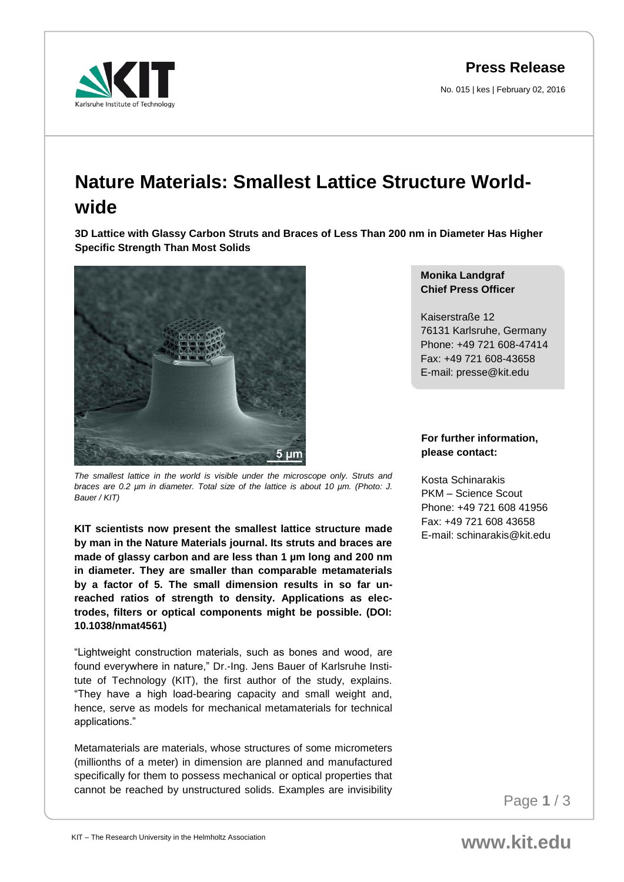**Press Release**

No. 015 | kes | February 02, 2016



## **Nature Materials: Smallest Lattice Structure Worldwide**

**3D Lattice with Glassy Carbon Struts and Braces of Less Than 200 nm in Diameter Has Higher Specific Strength Than Most Solids** 



*The smallest lattice in the world is visible under the microscope only. Struts and braces are 0.2 µm in diameter. Total size of the lattice is about 10 µm. (Photo: J. Bauer / KIT)*

**KIT scientists now present the smallest lattice structure made by man in the Nature Materials journal. Its struts and braces are made of glassy carbon and are less than 1 µm long and 200 nm in diameter. They are smaller than comparable metamaterials by a factor of 5. The small dimension results in so far unreached ratios of strength to density. Applications as electrodes, filters or optical components might be possible. (DOI: 10.1038/nmat4561)**

"Lightweight construction materials, such as bones and wood, are found everywhere in nature," Dr.-Ing. Jens Bauer of Karlsruhe Institute of Technology (KIT), the first author of the study, explains. "They have a high load-bearing capacity and small weight and, hence, serve as models for mechanical metamaterials for technical applications."

Metamaterials are materials, whose structures of some micrometers (millionths of a meter) in dimension are planned and manufactured specifically for them to possess mechanical or optical properties that cannot be reached by unstructured solids. Examples are invisibility

## **Monika Landgraf Chief Press Officer**

Kaiserstraße 12 76131 Karlsruhe, Germany Phone: +49 721 608-47414 Fax: +49 721 608-43658 E-mail: presse@kit.edu

## **For further information, please contact:**

Kosta Schinarakis PKM – Science Scout Phone: +49 721 608 41956 Fax: +49 721 608 43658 E-mail: schinarakis@kit.edu

Page **1** / 3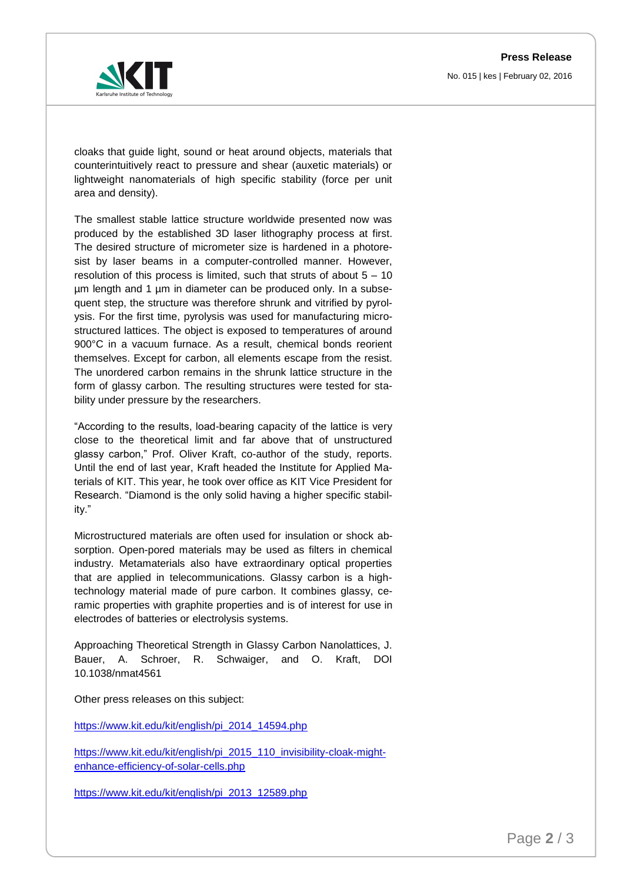

cloaks that guide light, sound or heat around objects, materials that counterintuitively react to pressure and shear (auxetic materials) or lightweight nanomaterials of high specific stability (force per unit area and density).

The smallest stable lattice structure worldwide presented now was produced by the established 3D laser lithography process at first. The desired structure of micrometer size is hardened in a photoresist by laser beams in a computer-controlled manner. However, resolution of this process is limited, such that struts of about 5 – 10 µm length and 1 µm in diameter can be produced only. In a subsequent step, the structure was therefore shrunk and vitrified by pyrolysis. For the first time, pyrolysis was used for manufacturing microstructured lattices. The object is exposed to temperatures of around 900°C in a vacuum furnace. As a result, chemical bonds reorient themselves. Except for carbon, all elements escape from the resist. The unordered carbon remains in the shrunk lattice structure in the form of glassy carbon. The resulting structures were tested for stability under pressure by the researchers.

"According to the results, load-bearing capacity of the lattice is very close to the theoretical limit and far above that of unstructured glassy carbon," Prof. Oliver Kraft, co-author of the study, reports. Until the end of last year, Kraft headed the Institute for Applied Materials of KIT. This year, he took over office as KIT Vice President for Research. "Diamond is the only solid having a higher specific stability."

Microstructured materials are often used for insulation or shock absorption. Open-pored materials may be used as filters in chemical industry. Metamaterials also have extraordinary optical properties that are applied in telecommunications. Glassy carbon is a hightechnology material made of pure carbon. It combines glassy, ceramic properties with graphite properties and is of interest for use in electrodes of batteries or electrolysis systems.

Approaching Theoretical Strength in Glassy Carbon Nanolattices, J. Bauer, A. Schroer, R. Schwaiger, and O. Kraft, DOI 10.1038/nmat4561

Other press releases on this subject:

https://www.kit.edu/kit/english/pi\_2014\_14594.php

[https://www.kit.edu/kit/english/pi\\_2015\\_110\\_invisibility-cloak-might](https://www.kit.edu/kit/english/pi_2015_110_invisibility-cloak-might-enhance-efficiency-of-solar-cells.php)[enhance-efficiency-of-solar-cells.php](https://www.kit.edu/kit/english/pi_2015_110_invisibility-cloak-might-enhance-efficiency-of-solar-cells.php)

[https://www.kit.edu/kit/english/pi\\_2013\\_12589.php](https://www.kit.edu/kit/english/pi_2013_12589.php)